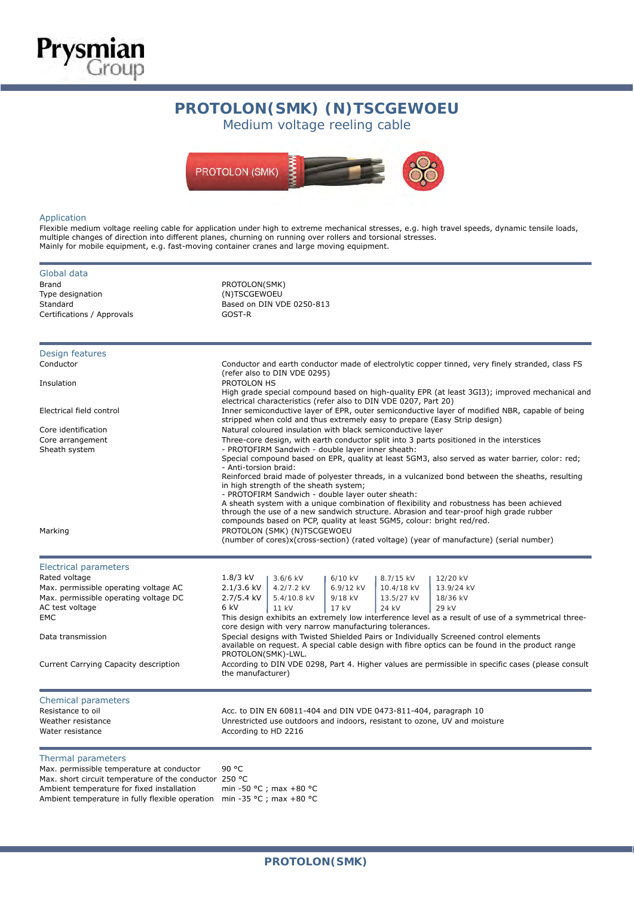



### Application

**Prysmian**<br>Group

Flexible medium voltage reeling cable for application under high to extreme mechanical stresses, e.g. high travel speeds, dynamic tensile loads, multiple changes of direction into different planes, churning on running over rollers and torsional stresses. Mainly for mobile equipment, e.g. fast-moving container cranes and large moving equipment.

| Global data                                            |                                                                                                                                                                              |                                                        |           |            |                                                                                                                                                                                           |  |  |  |  |
|--------------------------------------------------------|------------------------------------------------------------------------------------------------------------------------------------------------------------------------------|--------------------------------------------------------|-----------|------------|-------------------------------------------------------------------------------------------------------------------------------------------------------------------------------------------|--|--|--|--|
| <b>Brand</b>                                           | PROTOLON(SMK)                                                                                                                                                                |                                                        |           |            |                                                                                                                                                                                           |  |  |  |  |
| Type designation                                       | (N)TSCGEWOEU                                                                                                                                                                 |                                                        |           |            |                                                                                                                                                                                           |  |  |  |  |
| Standard                                               |                                                                                                                                                                              | Based on DIN VDE 0250-813                              |           |            |                                                                                                                                                                                           |  |  |  |  |
| Certifications / Approvals                             | GOST-R                                                                                                                                                                       |                                                        |           |            |                                                                                                                                                                                           |  |  |  |  |
|                                                        |                                                                                                                                                                              |                                                        |           |            |                                                                                                                                                                                           |  |  |  |  |
| Design features                                        |                                                                                                                                                                              |                                                        |           |            |                                                                                                                                                                                           |  |  |  |  |
| Conductor                                              |                                                                                                                                                                              |                                                        |           |            | Conductor and earth conductor made of electrolytic copper tinned, very finely stranded, class FS                                                                                          |  |  |  |  |
| Insulation                                             | PROTOLON HS                                                                                                                                                                  | (refer also to DIN VDE 0295)                           |           |            |                                                                                                                                                                                           |  |  |  |  |
|                                                        | High grade special compound based on high-quality EPR (at least 3GI3); improved mechanical and<br>electrical characteristics (refer also to DIN VDE 0207, Part 20)           |                                                        |           |            |                                                                                                                                                                                           |  |  |  |  |
| Electrical field control                               | Inner semiconductive layer of EPR, outer semiconductive layer of modified NBR, capable of being<br>stripped when cold and thus extremely easy to prepare (Easy Strip design) |                                                        |           |            |                                                                                                                                                                                           |  |  |  |  |
| Core identification                                    | Natural coloured insulation with black semiconductive layer                                                                                                                  |                                                        |           |            |                                                                                                                                                                                           |  |  |  |  |
| Core arrangement                                       | Three-core design, with earth conductor split into 3 parts positioned in the interstices                                                                                     |                                                        |           |            |                                                                                                                                                                                           |  |  |  |  |
| Sheath system                                          |                                                                                                                                                                              | - PROTOFIRM Sandwich - double layer inner sheath:      |           |            |                                                                                                                                                                                           |  |  |  |  |
|                                                        |                                                                                                                                                                              |                                                        |           |            | Special compound based on EPR, quality at least 5GM3, also served as water barrier, color: red;                                                                                           |  |  |  |  |
|                                                        | - Anti-torsion braid:                                                                                                                                                        |                                                        |           |            |                                                                                                                                                                                           |  |  |  |  |
|                                                        |                                                                                                                                                                              | in high strength of the sheath system;                 |           |            | Reinforced braid made of polyester threads, in a vulcanized bond between the sheaths, resulting                                                                                           |  |  |  |  |
|                                                        |                                                                                                                                                                              | - PROTOFIRM Sandwich - double layer outer sheath:      |           |            |                                                                                                                                                                                           |  |  |  |  |
|                                                        |                                                                                                                                                                              |                                                        |           |            | A sheath system with a unique combination of flexibility and robustness has been achieved                                                                                                 |  |  |  |  |
|                                                        |                                                                                                                                                                              |                                                        |           |            | through the use of a new sandwich structure. Abrasion and tear-proof high grade rubber                                                                                                    |  |  |  |  |
|                                                        |                                                                                                                                                                              |                                                        |           |            | compounds based on PCP, quality at least 5GM5, colour: bright red/red.                                                                                                                    |  |  |  |  |
| Marking                                                | PROTOLON (SMK) (N)TSCGEWOEU<br>(number of cores)x(cross-section) (rated voltage) (year of manufacture) (serial number)                                                       |                                                        |           |            |                                                                                                                                                                                           |  |  |  |  |
|                                                        |                                                                                                                                                                              |                                                        |           |            |                                                                                                                                                                                           |  |  |  |  |
| <b>Electrical parameters</b>                           |                                                                                                                                                                              |                                                        |           |            |                                                                                                                                                                                           |  |  |  |  |
| Rated voltage                                          | $1.8/3$ kV                                                                                                                                                                   | $3.6/6$ kV                                             | 6/10 kV   | 8.7/15 kV  | 12/20 kV                                                                                                                                                                                  |  |  |  |  |
| Max. permissible operating voltage AC                  | 2.1/3.6 kV                                                                                                                                                                   | 4.2/7.2 kV                                             | 6.9/12 kV | 10.4/18 kV | 13.9/24 kV                                                                                                                                                                                |  |  |  |  |
| Max. permissible operating voltage DC                  | 2.7/5.4 kV                                                                                                                                                                   | 5.4/10.8 kV                                            | 9/18 kV   | 13.5/27 kV | 18/36 kV                                                                                                                                                                                  |  |  |  |  |
| AC test voltage                                        | 6 kV                                                                                                                                                                         | 11 kV                                                  | 17 kV     | 24 kV      | 29 kV                                                                                                                                                                                     |  |  |  |  |
| <b>EMC</b>                                             |                                                                                                                                                                              |                                                        |           |            | This design exhibits an extremely low interference level as a result of use of a symmetrical three-                                                                                       |  |  |  |  |
|                                                        |                                                                                                                                                                              | core design with very narrow manufacturing tolerances. |           |            |                                                                                                                                                                                           |  |  |  |  |
| Data transmission                                      |                                                                                                                                                                              |                                                        |           |            | Special designs with Twisted Shielded Pairs or Individually Screened control elements<br>available on request. A special cable design with fibre optics can be found in the product range |  |  |  |  |
|                                                        | PROTOLON(SMK)-LWL.                                                                                                                                                           |                                                        |           |            |                                                                                                                                                                                           |  |  |  |  |
| Current Carrying Capacity description                  | the manufacturer)                                                                                                                                                            |                                                        |           |            | According to DIN VDE 0298, Part 4. Higher values are permissible in specific cases (please consult                                                                                        |  |  |  |  |
| Chemical parameters                                    |                                                                                                                                                                              |                                                        |           |            |                                                                                                                                                                                           |  |  |  |  |
| Resistance to oil                                      |                                                                                                                                                                              |                                                        |           |            | Acc. to DIN EN 60811-404 and DIN VDE 0473-811-404, paragraph 10                                                                                                                           |  |  |  |  |
| Weather resistance                                     |                                                                                                                                                                              |                                                        |           |            | Unrestricted use outdoors and indoors, resistant to ozone, UV and moisture                                                                                                                |  |  |  |  |
| Water resistance                                       | According to HD 2216                                                                                                                                                         |                                                        |           |            |                                                                                                                                                                                           |  |  |  |  |
| Thermal parameters                                     |                                                                                                                                                                              |                                                        |           |            |                                                                                                                                                                                           |  |  |  |  |
| Max. permissible temperature at conductor              | 90 °C                                                                                                                                                                        |                                                        |           |            |                                                                                                                                                                                           |  |  |  |  |
| Max. short circuit temperature of the conductor 250 °C |                                                                                                                                                                              |                                                        |           |            |                                                                                                                                                                                           |  |  |  |  |
| Ambient temperature for fixed installation             |                                                                                                                                                                              | min -50 °C : max +80 °C                                |           |            |                                                                                                                                                                                           |  |  |  |  |

Ambient temperature in fully flexible operation min -35 °C ; max +80 °C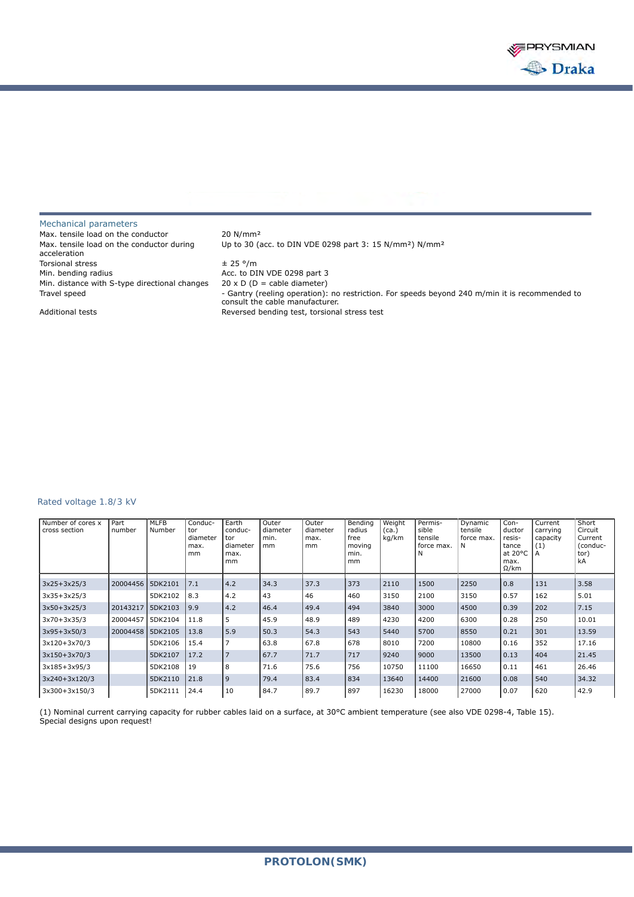

## Mechanical parameters Max. tensile load on the conductor 20 N/mm<sup>2</sup> Max. tensile load on the conductor during acceleration Torsional stress  $\pm 25$  °/m Min. bending radius and the Acc. to DIN VDE 0298 part 3 Min. distance with S-type directional changes  $20 \times D$  (D = cable diameter)

Up to 30 (acc. to DIN VDE 0298 part 3: 15 N/mm²) N/mm² Travel speed - Gantry (reeling operation): no restriction. For speeds beyond 240 m/min it is recommended to Tra consult the cable manufacturer. Additional tests **Reversed bending test**, torsional stress test

### Rated voltage 1.8/3 kV

| Number of cores x<br>cross section | Part<br>number     | <b>MLFB</b><br>Number | Conduc-<br>tor<br>diameter<br>max.<br>mm | Earth<br>conduc-<br>tor<br>diameter<br>max.<br>mm | Outer<br>diameter<br>min.<br><sub>mm</sub> | Outer<br>diameter<br>max.<br>mm | Bending<br>radius<br>free<br>moving<br>min.<br>mm | Weight<br>(ca.)<br>kg/km | Permis-<br>sible<br>tensile<br>force max. | Dynamic<br>tensile<br>force max.<br>N | Con-<br>ductor<br>resis-<br>tance<br>at $20^{\circ}$ C<br>max.<br>$\Omega$ /km | Current<br>carrying<br>capacity<br>(1) | Short<br>Circuit<br>Current<br>(conduc-<br>tor)<br>kA |
|------------------------------------|--------------------|-----------------------|------------------------------------------|---------------------------------------------------|--------------------------------------------|---------------------------------|---------------------------------------------------|--------------------------|-------------------------------------------|---------------------------------------|--------------------------------------------------------------------------------|----------------------------------------|-------------------------------------------------------|
| $3x25+3x25/3$                      | 20004456           | 5DK2101               | 7.1                                      | 4.2                                               | 34.3                                       | 37.3                            | 373                                               | 2110                     | 1500                                      | 2250                                  | 0.8                                                                            | 131                                    | 3.58                                                  |
| $3x35+3x25/3$                      |                    | 5DK2102               | 8.3                                      | 4.2                                               | 43                                         | 46                              | 460                                               | 3150                     | 2100                                      | 3150                                  | 0.57                                                                           | 162                                    | 5.01                                                  |
| $3x50+3x25/3$                      | 20143217           | 5DK2103               | 19.9                                     | 4.2                                               | 46.4                                       | 49.4                            | 494                                               | 3840                     | 3000                                      | 4500                                  | 0.39                                                                           | 202                                    | 7.15                                                  |
| $3x70+3x35/3$                      | 20004457           | 5DK2104               | 11.8                                     | 5                                                 | 45.9                                       | 48.9                            | 489                                               | 4230                     | 4200                                      | 6300                                  | 0.28                                                                           | 250                                    | 10.01                                                 |
| $3x95+3x50/3$                      | 20004458   5DK2105 |                       | 13.8                                     | 5.9                                               | 50.3                                       | 54.3                            | 543                                               | 5440                     | 5700                                      | 8550                                  | 0.21                                                                           | 301                                    | 13.59                                                 |
| 3x120+3x70/3                       |                    | 5DK2106               | 15.4                                     | 7                                                 | 63.8                                       | 67.8                            | 678                                               | 8010                     | 7200                                      | 10800                                 | 0.16                                                                           | 352                                    | 17.16                                                 |
| $3x150+3x70/3$                     |                    | 5DK2107               | 17.2                                     | $\overline{7}$                                    | 67.7                                       | 71.7                            | 717                                               | 9240                     | 9000                                      | 13500                                 | 0.13                                                                           | 404                                    | 21.45                                                 |
| $3x185 + 3x95/3$                   |                    | 5DK2108               | 19                                       | 8                                                 | 71.6                                       | 75.6                            | 756                                               | 10750                    | 11100                                     | 16650                                 | 0.11                                                                           | 461                                    | 26.46                                                 |
| 3x240+3x120/3                      |                    | 5DK2110               | 21.8                                     | 9                                                 | 79.4                                       | 83.4                            | 834                                               | 13640                    | 14400                                     | 21600                                 | 0.08                                                                           | 540                                    | 34.32                                                 |
| 3x300+3x150/3                      |                    | 5DK2111               | 24.4                                     | 10                                                | 84.7                                       | 89.7                            | 897                                               | 16230                    | 18000                                     | 27000                                 | 0.07                                                                           | 620                                    | 42.9                                                  |

(1) Nominal current carrying capacity for rubber cables laid on a surface, at 30°C ambient temperature (see also VDE 0298-4, Table 15). Special designs upon request!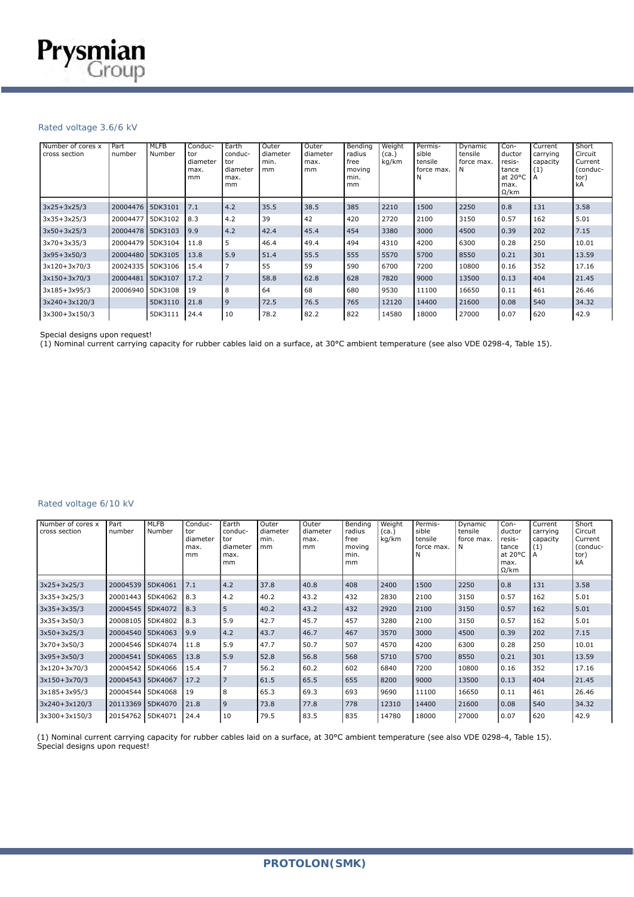### Rated voltage 3.6/6 kV

| Number of cores x<br>cross section | Part<br>number   | MLFB<br>Number | Conduc-<br>tor<br>diameter<br>max.<br>mm | Earth<br>conduc-<br>tor<br>diameter<br>max.<br>mm | Outer<br>diameter<br>min.<br>mm | Outer<br>diameter<br>max.<br>mm | Bending<br>radius<br>free<br>moving<br>min.<br>mm | Weight<br>(ca.)<br>kg/km | Permis-<br>sible<br>tensile<br>force max.<br>N | Dynamic<br>tensile<br>force max.<br>Ν | Con-<br>ductor<br>resis-<br>tance<br>at 20°C  <br>max.<br>$\Omega$ /km | Current<br>carrying<br>capacity<br>(1)<br>A | Short<br>Circuit<br>Current<br>(conduc-<br>tor)<br>kA |
|------------------------------------|------------------|----------------|------------------------------------------|---------------------------------------------------|---------------------------------|---------------------------------|---------------------------------------------------|--------------------------|------------------------------------------------|---------------------------------------|------------------------------------------------------------------------|---------------------------------------------|-------------------------------------------------------|
| $3x25+3x25/3$                      | 20004476 5DK3101 |                | 7.1                                      | $ 4.2\rangle$                                     | 35.5                            | 38.5                            | 385                                               | 2210                     | 1500                                           | 2250                                  | 0.8                                                                    | 131                                         | 3.58                                                  |
| $3x35+3x25/3$                      | 20004477 5DK3102 |                | $\vert 8.3 \vert$                        | 4.2                                               | 39                              | 42                              | 420                                               | 2720                     | 2100                                           | 3150                                  | 0.57                                                                   | 162                                         | 5.01                                                  |
| $3x50+3x25/3$                      | 20004478 5DK3103 |                | 19.9                                     | $ 4.2\rangle$                                     | 42.4                            | 45.4                            | 454                                               | 3380                     | 3000                                           | 4500                                  | 0.39                                                                   | 202                                         | 7.15                                                  |
| 3x70+3x35/3                        | 20004479 5DK3104 |                | 11.8                                     | 5                                                 | 46.4                            | 49.4                            | 494                                               | 4310                     | 4200                                           | 6300                                  | 0.28                                                                   | 250                                         | 10.01                                                 |
| $3x95+3x50/3$                      | 20004480 5DK3105 |                | 13.8                                     | 5.9                                               | 51.4                            | 55.5                            | 555                                               | 5570                     | 5700                                           | 8550                                  | 0.21                                                                   | 301                                         | 13.59                                                 |
| 3x120+3x70/3                       | 20024335         | 5DK3106        | 15.4                                     |                                                   | 55                              | 59                              | 590                                               | 6700                     | 7200                                           | 10800                                 | 0.16                                                                   | 352                                         | 17.16                                                 |
| $3x150+3x70/3$                     | 20004481 5DK3107 |                | 17.2                                     | $\overline{7}$                                    | 58.8                            | 62.8                            | 628                                               | 7820                     | 9000                                           | 13500                                 | 0.13                                                                   | 404                                         | 21.45                                                 |
| $3x185+3x95/3$                     | 20006940         | 5DK3108        | 19                                       | 8                                                 | 64                              | 68                              | 680                                               | 9530                     | 11100                                          | 16650                                 | 0.11                                                                   | 461                                         | 26.46                                                 |
| 3x240+3x120/3                      |                  | 5DK3110        | 21.8                                     | l 9                                               | 72.5                            | 76.5                            | 765                                               | 12120                    | 14400                                          | 21600                                 | 0.08                                                                   | 540                                         | 34.32                                                 |
| 3x300+3x150/3                      |                  | 5DK3111        | 24.4                                     | 10                                                | 78.2                            | 82.2                            | 822                                               | 14580                    | 18000                                          | 27000                                 | 0.07                                                                   | 620                                         | 42.9                                                  |

Special designs upon request!

(1) Nominal current carrying capacity for rubber cables laid on a surface, at 30°C ambient temperature (see also VDE 0298-4, Table 15).

# Rated voltage 6/10 kV

| Number of cores x<br>cross section | Part<br>number   | <b>MLFB</b><br>Number | Conduc-<br>tor<br>diameter<br>max.<br>mm | Earth<br>conduc-<br>tor<br>diameter<br>max.<br>mm | Outer<br>diameter<br>min.<br>mm | Outer<br>diameter<br>max.<br>mm | Bending<br>radius<br>free<br>moving<br>min.<br>mm | Weight<br>(ca.)<br>kg/km | Permis-<br>sible<br>tensile<br>force max. | Dynamic<br>tensile<br>force max.<br>N | Con-<br>ductor<br>resis-<br>tance<br>at $20^{\circ}$ C<br>max.<br>$\Omega$ /km | Current<br>carrying<br>capacity<br>(1) | Short<br>Circuit<br>Current<br>(conduc-<br>tor)<br>kA |
|------------------------------------|------------------|-----------------------|------------------------------------------|---------------------------------------------------|---------------------------------|---------------------------------|---------------------------------------------------|--------------------------|-------------------------------------------|---------------------------------------|--------------------------------------------------------------------------------|----------------------------------------|-------------------------------------------------------|
| $3x25+3x25/3$                      | 20004539         | 5DK4061               | 7.1                                      | 4.2                                               | 37.8                            | 40.8                            | 408                                               | 2400                     | 1500                                      | 2250                                  | 0.8                                                                            | 131                                    | 3.58                                                  |
| $3x35+3x25/3$                      | 20001443 5DK4062 |                       | 8.3                                      | 4.2                                               | 40.2                            | 43.2                            | 432                                               | 2830                     | 2100                                      | 3150                                  | 0.57                                                                           | 162                                    | 5.01                                                  |
| $3x35+3x35/3$                      | 20004545 5DK4072 |                       | 8.3                                      | 5                                                 | 40.2                            | 43.2                            | 432                                               | 2920                     | 2100                                      | 3150                                  | 0.57                                                                           | 162                                    | 5.01                                                  |
| $3x35+3x50/3$                      | 20008105 5DK4802 |                       | 8.3                                      | 5.9                                               | 42.7                            | 45.7                            | 457                                               | 3280                     | 2100                                      | 3150                                  | 0.57                                                                           | 162                                    | 5.01                                                  |
| $3x50+3x25/3$                      | 20004540 5DK4063 |                       | 9.9                                      | 4.2                                               | 43.7                            | 46.7                            | 467                                               | 3570                     | 3000                                      | 4500                                  | 0.39                                                                           | 202                                    | 7.15                                                  |
| 3x70+3x50/3                        | 20004546 5DK4074 |                       | 11.8                                     | 5.9                                               | 47.7                            | 50.7                            | 507                                               | 4570                     | 4200                                      | 6300                                  | 0.28                                                                           | 250                                    | 10.01                                                 |
| $3x95+3x50/3$                      | 20004541         | 5DK4065               | 13.8                                     | 5.9                                               | 52.8                            | 56.8                            | 568                                               | 5710                     | 5700                                      | 8550                                  | 0.21                                                                           | 301                                    | 13.59                                                 |
| 3x120+3x70/3                       | 20004542 5DK4066 |                       | 15.4                                     | 7                                                 | 56.2                            | 60.2                            | 602                                               | 6840                     | 7200                                      | 10800                                 | 0.16                                                                           | 352                                    | 17.16                                                 |
| $3x150+3x70/3$                     | 20004543 5DK4067 |                       | 17.2                                     | 7                                                 | 61.5                            | 65.5                            | 655                                               | 8200                     | 9000                                      | 13500                                 | 0.13                                                                           | 404                                    | 21.45                                                 |
| 3x185+3x95/3                       | 20004544         | 5DK4068               | 19                                       | 8                                                 | 65.3                            | 69.3                            | 693                                               | 9690                     | 11100                                     | 16650                                 | 0.11                                                                           | 461                                    | 26.46                                                 |
| 3x240+3x120/3                      | 20113369 5DK4070 |                       | 21.8                                     | و ا                                               | 73.8                            | 77.8                            | 778                                               | 12310                    | 14400                                     | 21600                                 | 0.08                                                                           | 540                                    | 34.32                                                 |
| 3x300+3x150/3                      | 20154762 5DK4071 |                       | 24.4                                     | 10                                                | 79.5                            | 83.5                            | 835                                               | 14780                    | 18000                                     | 27000                                 | 0.07                                                                           | 620                                    | 42.9                                                  |

(1) Nominal current carrying capacity for rubber cables laid on a surface, at 30°C ambient temperature (see also VDE 0298-4, Table 15). Special designs upon request!